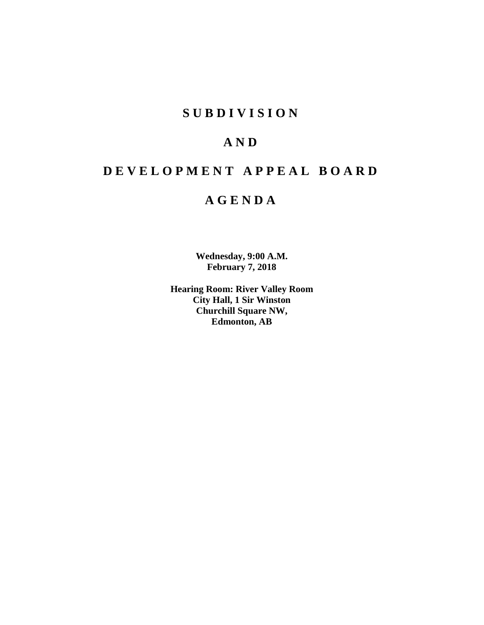# **S U B D I V I S I O N**

# **A N D**

# **D E V E L O P M E N T A P P E A L B O A R D**

# **A G E N D A**

**Wednesday, 9:00 A.M. February 7, 2018**

**Hearing Room: River Valley Room City Hall, 1 Sir Winston Churchill Square NW, Edmonton, AB**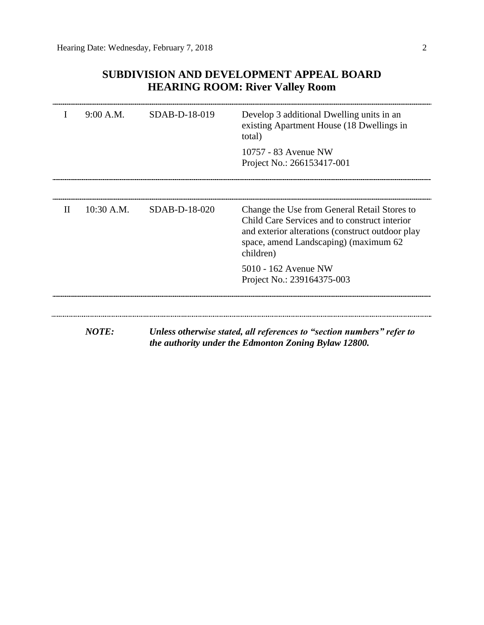# **SUBDIVISION AND DEVELOPMENT APPEAL BOARD HEARING ROOM: River Valley Room**

|              | 9:00 A.M.    | SDAB-D-18-019 | Develop 3 additional Dwelling units in an<br>existing Apartment House (18 Dwellings in<br>total)                                                                                                        |
|--------------|--------------|---------------|---------------------------------------------------------------------------------------------------------------------------------------------------------------------------------------------------------|
|              |              |               | 10757 - 83 Avenue NW<br>Project No.: 266153417-001                                                                                                                                                      |
| $\mathbf{I}$ | 10:30 A.M.   | SDAB-D-18-020 | Change the Use from General Retail Stores to<br>Child Care Services and to construct interior<br>and exterior alterations (construct outdoor play<br>space, amend Landscaping) (maximum 62<br>children) |
|              |              |               | 5010 - 162 Avenue NW<br>Project No.: 239164375-003                                                                                                                                                      |
|              | <b>NOTE:</b> |               | Unless otherwise stated, all references to "section numbers" refer to<br>the authority under the Edmonton Zoning Bylaw 12800.                                                                           |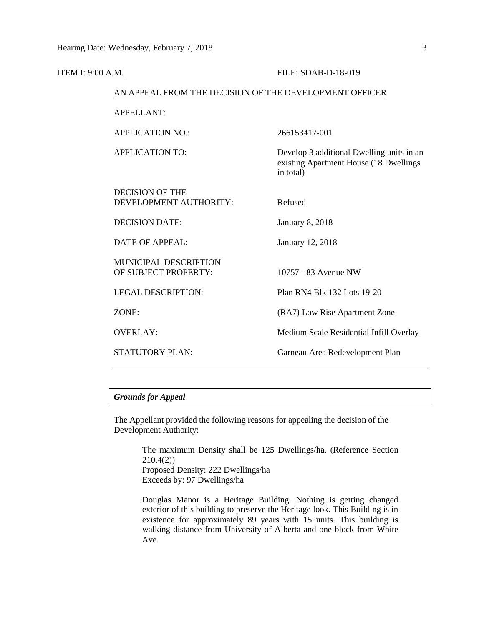| <b>ITEM I: 9:00 A.M.</b>                               | FILE: SDAB-D-18-019                                                                              |
|--------------------------------------------------------|--------------------------------------------------------------------------------------------------|
| AN APPEAL FROM THE DECISION OF THE DEVELOPMENT OFFICER |                                                                                                  |
| <b>APPELLANT:</b>                                      |                                                                                                  |
| <b>APPLICATION NO.:</b>                                | 266153417-001                                                                                    |
| <b>APPLICATION TO:</b>                                 | Develop 3 additional Dwelling units in an<br>existing Apartment House (18 Dwellings<br>in total) |
| <b>DECISION OF THE</b><br>DEVELOPMENT AUTHORITY:       | Refused                                                                                          |
| <b>DECISION DATE:</b>                                  | <b>January 8, 2018</b>                                                                           |
| <b>DATE OF APPEAL:</b>                                 | January 12, 2018                                                                                 |
| MUNICIPAL DESCRIPTION<br>OF SUBJECT PROPERTY:          | 10757 - 83 Avenue NW                                                                             |
| <b>LEGAL DESCRIPTION:</b>                              | Plan RN4 Blk 132 Lots 19-20                                                                      |
| ZONE:                                                  | (RA7) Low Rise Apartment Zone                                                                    |
| <b>OVERLAY:</b>                                        | Medium Scale Residential Infill Overlay                                                          |
| <b>STATUTORY PLAN:</b>                                 | Garneau Area Redevelopment Plan                                                                  |

# *Grounds for Appeal*

The Appellant provided the following reasons for appealing the decision of the Development Authority:

> The maximum Density shall be 125 Dwellings/ha. (Reference Section 210.4(2)) Proposed Density: 222 Dwellings/ha Exceeds by: 97 Dwellings/ha

> Douglas Manor is a Heritage Building. Nothing is getting changed exterior of this building to preserve the Heritage look. This Building is in existence for approximately 89 years with 15 units. This building is walking distance from University of Alberta and one block from White Ave.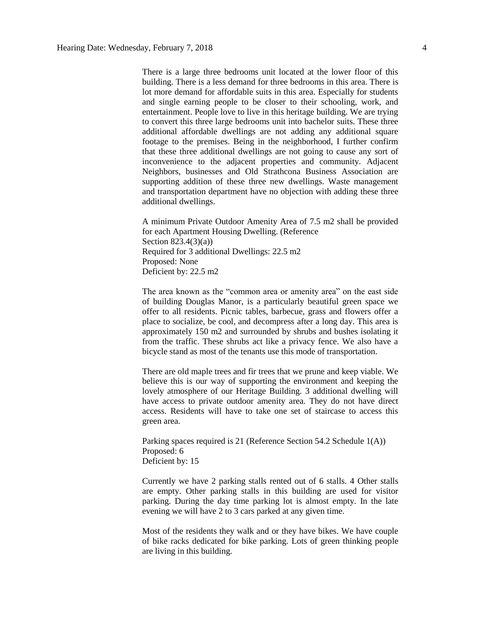There is a large three bedrooms unit located at the lower floor of this building. There is a less demand for three bedrooms in this area. There is lot more demand for affordable suits in this area. Especially for students and single earning people to be closer to their schooling, work, and entertainment. People love to live in this heritage building. We are trying to convert this three large bedrooms unit into bachelor suits. These three additional affordable dwellings are not adding any additional square footage to the premises. Being in the neighborhood, I further confirm that these three additional dwellings are not going to cause any sort of inconvenience to the adjacent properties and community. Adjacent Neighbors, businesses and Old Strathcona Business Association are supporting addition of these three new dwellings. Waste management and transportation department have no objection with adding these three additional dwellings.

A minimum Private Outdoor Amenity Area of 7.5 m2 shall be provided for each Apartment Housing Dwelling. (Reference Section 823.4(3)(a)) Required for 3 additional Dwellings: 22.5 m2 Proposed: None Deficient by: 22.5 m2

The area known as the "common area or amenity area" on the east side of building Douglas Manor, is a particularly beautiful green space we offer to all residents. Picnic tables, barbecue, grass and flowers offer a place to socialize, be cool, and decompress after a long day. This area is approximately 150 m2 and surrounded by shrubs and bushes isolating it from the traffic. These shrubs act like a privacy fence. We also have a bicycle stand as most of the tenants use this mode of transportation.

There are old maple trees and fir trees that we prune and keep viable. We believe this is our way of supporting the environment and keeping the lovely atmosphere of our Heritage Building. 3 additional dwelling will have access to private outdoor amenity area. They do not have direct access. Residents will have to take one set of staircase to access this green area.

Parking spaces required is 21 (Reference Section 54.2 Schedule 1(A)) Proposed: 6 Deficient by: 15

Currently we have 2 parking stalls rented out of 6 stalls. 4 Other stalls are empty. Other parking stalls in this building are used for visitor parking. During the day time parking lot is almost empty. In the late evening we will have 2 to 3 cars parked at any given time.

Most of the residents they walk and or they have bikes. We have couple of bike racks dedicated for bike parking. Lots of green thinking people are living in this building.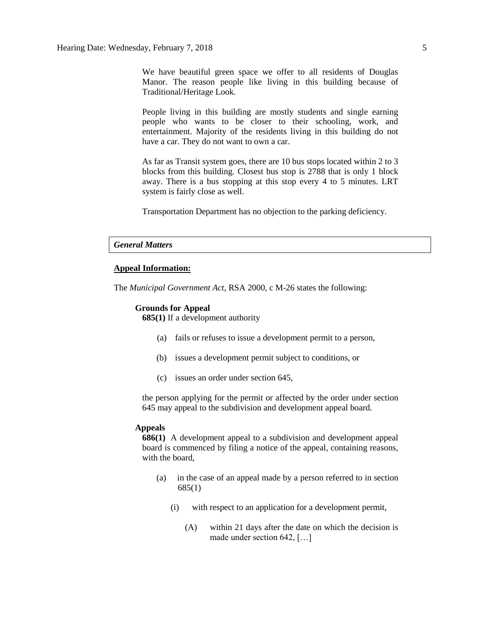We have beautiful green space we offer to all residents of Douglas Manor. The reason people like living in this building because of Traditional/Heritage Look.

People living in this building are mostly students and single earning people who wants to be closer to their schooling, work, and entertainment. Majority of the residents living in this building do not have a car. They do not want to own a car.

As far as Transit system goes, there are 10 bus stops located within 2 to 3 blocks from this building. Closest bus stop is 2788 that is only 1 block away. There is a bus stopping at this stop every 4 to 5 minutes. LRT system is fairly close as well.

Transportation Department has no objection to the parking deficiency.

## *General Matters*

## **Appeal Information:**

The *Municipal Government Act*, RSA 2000, c M-26 states the following:

### **Grounds for Appeal**

**685(1)** If a development authority

- (a) fails or refuses to issue a development permit to a person,
- (b) issues a development permit subject to conditions, or
- (c) issues an order under section 645,

the person applying for the permit or affected by the order under section 645 may appeal to the subdivision and development appeal board.

### **Appeals**

**686(1)** A development appeal to a subdivision and development appeal board is commenced by filing a notice of the appeal, containing reasons, with the board,

- (a) in the case of an appeal made by a person referred to in section 685(1)
	- (i) with respect to an application for a development permit,
		- (A) within 21 days after the date on which the decision is made under section 642, […]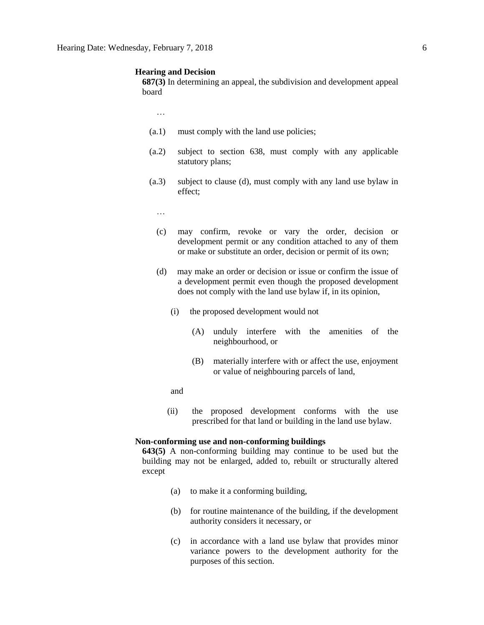#### **Hearing and Decision**

**687(3)** In determining an appeal, the subdivision and development appeal board

…

- (a.1) must comply with the land use policies;
- (a.2) subject to section 638, must comply with any applicable statutory plans;
- (a.3) subject to clause (d), must comply with any land use bylaw in effect;
	- …
	- (c) may confirm, revoke or vary the order, decision or development permit or any condition attached to any of them or make or substitute an order, decision or permit of its own;
	- (d) may make an order or decision or issue or confirm the issue of a development permit even though the proposed development does not comply with the land use bylaw if, in its opinion,
		- (i) the proposed development would not
			- (A) unduly interfere with the amenities of the neighbourhood, or
			- (B) materially interfere with or affect the use, enjoyment or value of neighbouring parcels of land,
		- and
		- (ii) the proposed development conforms with the use prescribed for that land or building in the land use bylaw.

#### **Non-conforming use and non-conforming buildings**

**643(5)** A non-conforming building may continue to be used but the building may not be enlarged, added to, rebuilt or structurally altered except

- (a) to make it a conforming building,
- (b) for routine maintenance of the building, if the development authority considers it necessary, or
- (c) in accordance with a land use bylaw that provides minor variance powers to the development authority for the purposes of this section.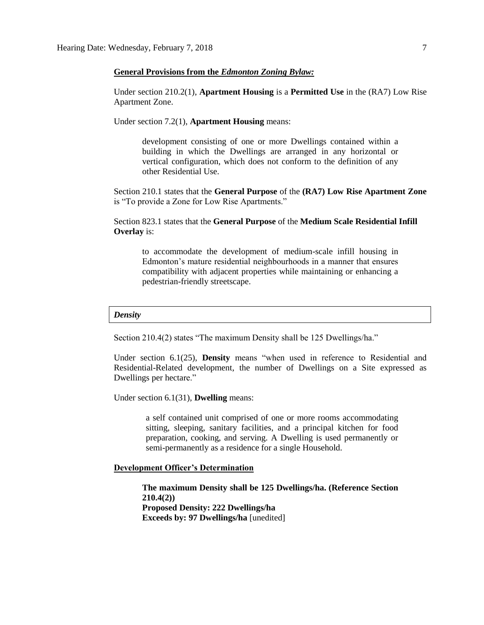## **General Provisions from the** *Edmonton Zoning Bylaw:*

Under section 210.2(1), **Apartment Housing** is a **Permitted Use** in the (RA7) Low Rise Apartment Zone.

Under section 7.2(1), **Apartment Housing** means:

development consisting of one or more Dwellings contained within a building in which the Dwellings are arranged in any horizontal or vertical configuration, which does not conform to the definition of any other Residential Use.

Section 210.1 states that the **General Purpose** of the **(RA7) Low Rise Apartment Zone**  is "To provide a Zone for Low Rise Apartments."

Section 823.1 states that the **General Purpose** of the **Medium Scale Residential Infill Overlay** is:

to accommodate the development of medium-scale infill housing in Edmonton's mature residential neighbourhoods in a manner that ensures compatibility with adjacent properties while maintaining or enhancing a pedestrian-friendly streetscape.

#### *Density*

Section 210.4(2) states "The maximum Density shall be 125 Dwellings/ha."

Under section 6.1(25), **Density** means "when used in reference to Residential and Residential-Related development, the number of Dwellings on a Site expressed as Dwellings per hectare."

Under section 6.1(31), **Dwelling** means:

a self contained unit comprised of one or more rooms accommodating sitting, sleeping, sanitary facilities, and a principal kitchen for food preparation, cooking, and serving. A Dwelling is used permanently or semi-permanently as a residence for a single Household.

## **Development Officer's Determination**

**The maximum Density shall be 125 Dwellings/ha. (Reference Section 210.4(2)) Proposed Density: 222 Dwellings/ha Exceeds by: 97 Dwellings/ha** [unedited]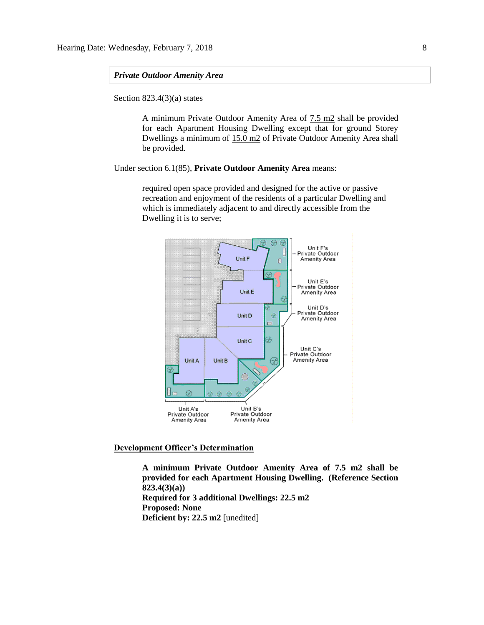## *Private Outdoor Amenity Area*

Section 823.4(3)(a) states

A minimum Private Outdoor Amenity Area of 7.5 m2 shall be provided for each Apartment Housing Dwelling except that for ground Storey Dwellings a minimum of 15.0 m2 of Private Outdoor Amenity Area shall be provided.

Under section 6.1(85), **Private Outdoor Amenity Area** means:

required open space provided and designed for the active or passive recreation and enjoyment of the residents of a particular Dwelling and which is immediately adjacent to and directly accessible from the Dwelling it is to serve;



**Development Officer's Determination**

**A minimum Private Outdoor Amenity Area of 7.5 m2 shall be provided for each Apartment Housing Dwelling. (Reference Section 823.4(3)(a)) Required for 3 additional Dwellings: 22.5 m2 Proposed: None Deficient by: 22.5 m2** [unedited]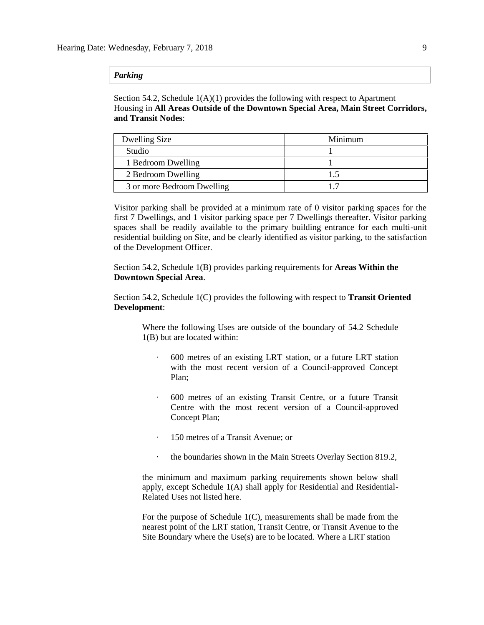## *Parking*

Section 54.2, Schedule 1(A)(1) provides the following with respect to Apartment Housing in **All Areas Outside of the Downtown Special Area, Main Street Corridors, and Transit Nodes**:

| Dwelling Size              | Minimum         |
|----------------------------|-----------------|
| Studio                     |                 |
| 1 Bedroom Dwelling         |                 |
| 2 Bedroom Dwelling         | $\overline{.5}$ |
| 3 or more Bedroom Dwelling |                 |

Visitor parking shall be provided at a minimum rate of 0 visitor parking spaces for the first 7 Dwellings, and 1 visitor parking space per 7 Dwellings thereafter. Visitor parking spaces shall be readily available to the primary building entrance for each multi-unit residential building on Site, and be clearly identified as visitor parking, to the satisfaction of the Development Officer.

Section 54.2, Schedule 1(B) provides parking requirements for **Areas Within the Downtown Special Area**.

Section 54.2, Schedule 1(C) provides the following with respect to **Transit Oriented Development**:

Where the following Uses are outside of the boundary of 54.2 Schedule 1(B) but are located within:

- · 600 metres of an existing LRT station, or a future LRT station with the most recent version of a Council-approved Concept Plan;
- · 600 metres of an existing Transit Centre, or a future Transit Centre with the most recent version of a Council-approved Concept Plan;
- · 150 metres of a Transit Avenue; or
- · the boundaries shown in the Main Streets Overlay Section 819.2,

the minimum and maximum parking requirements shown below shall apply, except Schedule 1(A) shall apply for Residential and Residential-Related Uses not listed here.

For the purpose of Schedule 1(C), measurements shall be made from the nearest point of the LRT station, Transit Centre, or Transit Avenue to the Site Boundary where the Use(s) are to be located. Where a LRT station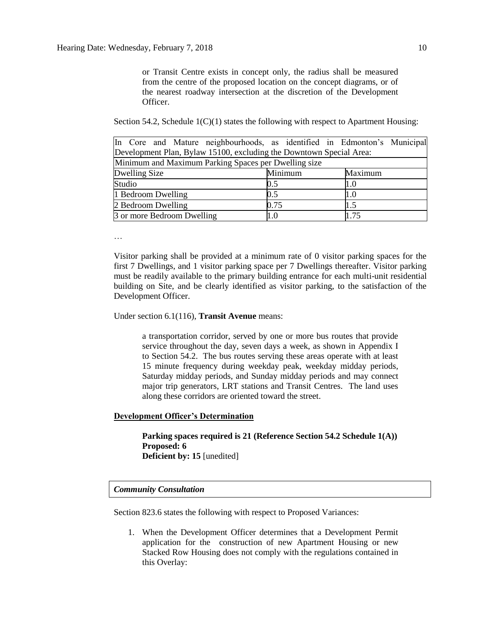…

or Transit Centre exists in concept only, the radius shall be measured from the centre of the proposed location on the concept diagrams, or of the nearest roadway intersection at the discretion of the Development Officer.

Section 54.2, Schedule  $1(C)(1)$  states the following with respect to Apartment Housing:

| In Core and Mature neighbourhoods, as identified in Edmonton's Municipal |         |      |  |  |  |
|--------------------------------------------------------------------------|---------|------|--|--|--|
| Development Plan, Bylaw 15100, excluding the Downtown Special Area:      |         |      |  |  |  |
| Minimum and Maximum Parking Spaces per Dwelling size                     |         |      |  |  |  |
| Dwelling Size<br>Minimum<br>Maximum                                      |         |      |  |  |  |
| Studio                                                                   | 0.5     | 1.0  |  |  |  |
| 1 Bedroom Dwelling                                                       | 0.5     | 1.0  |  |  |  |
| 2 Bedroom Dwelling                                                       | 0.75    | 1.5  |  |  |  |
| 3 or more Bedroom Dwelling                                               | $1.0\,$ | 1.75 |  |  |  |

Visitor parking shall be provided at a minimum rate of 0 visitor parking spaces for the first 7 Dwellings, and 1 visitor parking space per 7 Dwellings thereafter. Visitor parking must be readily available to the primary building entrance for each multi-unit residential building on Site, and be clearly identified as visitor parking, to the satisfaction of the Development Officer.

Under section 6.1(116), **Transit Avenue** means:

a transportation corridor, served by one or more bus routes that provide service throughout the day, seven days a week, as shown in Appendix I to Section 54.2. The bus routes serving these areas operate with at least 15 minute frequency during weekday peak, weekday midday periods, Saturday midday periods, and Sunday midday periods and may connect major trip generators, LRT stations and Transit Centres. The land uses along these corridors are oriented toward the street.

## **Development Officer's Determination**

**Parking spaces required is 21 (Reference Section 54.2 Schedule 1(A)) Proposed: 6 Deficient by: 15** [unedited]

## *Community Consultation*

Section 823.6 states the following with respect to Proposed Variances:

1. When the Development Officer determines that a Development Permit application for the construction of new Apartment Housing or new Stacked Row Housing does not comply with the regulations contained in this Overlay: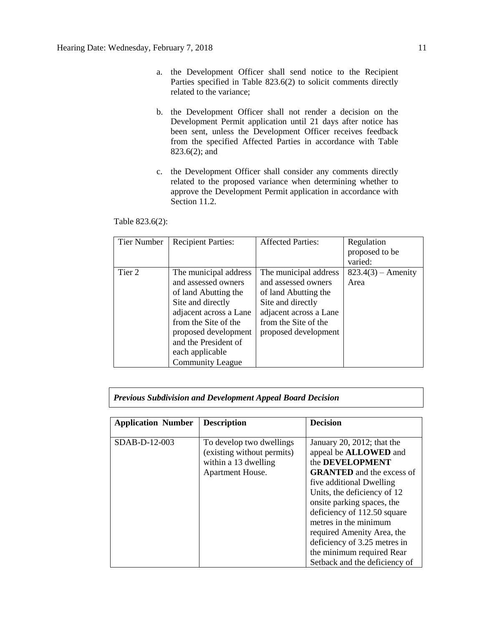- a. the Development Officer shall send notice to the Recipient Parties specified in Table 823.6(2) to solicit comments directly related to the variance;
- b. the Development Officer shall not render a decision on the Development Permit application until 21 days after notice has been sent, unless the Development Officer receives feedback from the specified Affected Parties in accordance with Table 823.6(2); and
- c. the Development Officer shall consider any comments directly related to the proposed variance when determining whether to approve the Development Permit application in accordance with Section 11.2.

| Table 823.6(2): |  |  |
|-----------------|--|--|
|-----------------|--|--|

| Tier Number | <b>Recipient Parties:</b> | <b>Affected Parties:</b> | Regulation           |
|-------------|---------------------------|--------------------------|----------------------|
|             |                           |                          | proposed to be       |
|             |                           |                          | varied:              |
| Tier 2      | The municipal address     | The municipal address    | $823.4(3)$ – Amenity |
|             | and assessed owners       | and assessed owners      | Area                 |
|             | of land Abutting the      | of land Abutting the     |                      |
|             | Site and directly         | Site and directly        |                      |
|             | adjacent across a Lane    | adjacent across a Lane   |                      |
|             | from the Site of the      | from the Site of the     |                      |
|             | proposed development      | proposed development     |                      |
|             | and the President of      |                          |                      |
|             | each applicable           |                          |                      |
|             | <b>Community League</b>   |                          |                      |

# *Previous Subdivision and Development Appeal Board Decision*

| <b>Application Number</b> | <b>Description</b>                                                                                 | <b>Decision</b>                                                                                                                                                                                                                                                                                                                                               |
|---------------------------|----------------------------------------------------------------------------------------------------|---------------------------------------------------------------------------------------------------------------------------------------------------------------------------------------------------------------------------------------------------------------------------------------------------------------------------------------------------------------|
| SDAB-D-12-003             | To develop two dwellings<br>(existing without permits)<br>within a 13 dwelling<br>Apartment House. | January 20, 2012; that the<br>appeal be <b>ALLOWED</b> and<br>the DEVELOPMENT<br><b>GRANTED</b> and the excess of<br>five additional Dwelling<br>Units, the deficiency of 12<br>onsite parking spaces, the<br>deficiency of 112.50 square<br>metres in the minimum<br>required Amenity Area, the<br>deficiency of 3.25 metres in<br>the minimum required Rear |
|                           |                                                                                                    | Setback and the deficiency of                                                                                                                                                                                                                                                                                                                                 |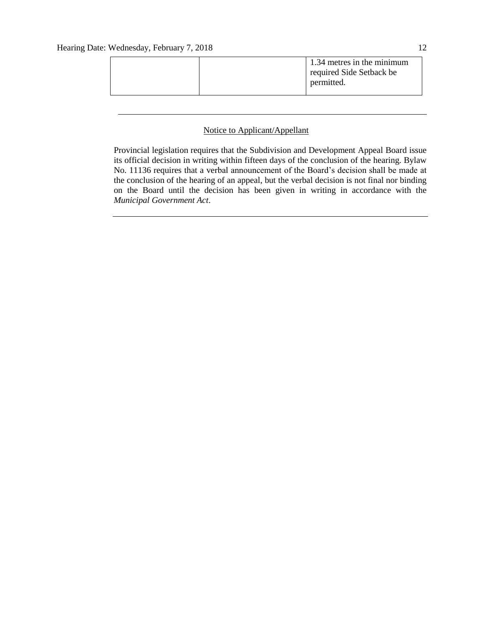| 1.34 metres in the minimum<br>required Side Setback be<br>permitted. |  |
|----------------------------------------------------------------------|--|
|----------------------------------------------------------------------|--|

## Notice to Applicant/Appellant

Provincial legislation requires that the Subdivision and Development Appeal Board issue its official decision in writing within fifteen days of the conclusion of the hearing. Bylaw No. 11136 requires that a verbal announcement of the Board's decision shall be made at the conclusion of the hearing of an appeal, but the verbal decision is not final nor binding on the Board until the decision has been given in writing in accordance with the *Municipal Government Act*.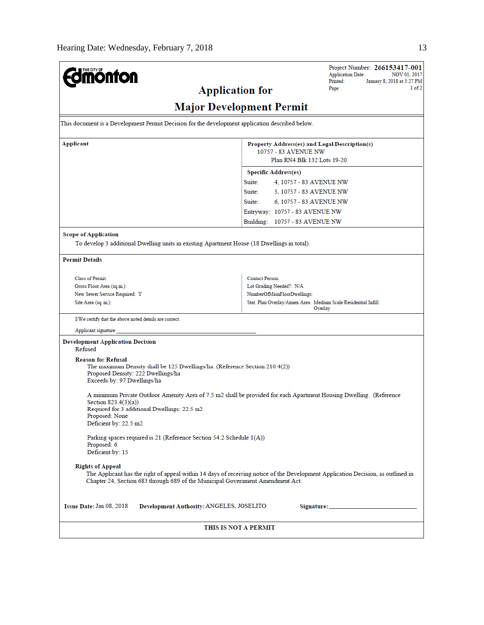| <b>mönton</b>                                                                                                                                                                                                                                 | Project Number: 266153417-001<br><b>Application Date:</b><br>Printed:                                | NOV 01, 2017<br>January 8, 2018 at 3:27 PM |  |  |
|-----------------------------------------------------------------------------------------------------------------------------------------------------------------------------------------------------------------------------------------------|------------------------------------------------------------------------------------------------------|--------------------------------------------|--|--|
| <b>Application for</b>                                                                                                                                                                                                                        | Page:                                                                                                | 1 of 2                                     |  |  |
| <b>Major Development Permit</b>                                                                                                                                                                                                               |                                                                                                      |                                            |  |  |
| This document is a Development Permit Decision for the development application described below.                                                                                                                                               |                                                                                                      |                                            |  |  |
| Applicant                                                                                                                                                                                                                                     | Property Address(es) and Legal Description(s)<br>10757 - 83 AVENUE NW<br>Plan RN4 Blk 132 Lots 19-20 |                                            |  |  |
|                                                                                                                                                                                                                                               | <b>Specific Address(es)</b>                                                                          |                                            |  |  |
|                                                                                                                                                                                                                                               | Suite:<br>4, 10757 - 83 AVENUE NW                                                                    |                                            |  |  |
|                                                                                                                                                                                                                                               | Suite:<br>5, 10757 - 83 AVENUE NW                                                                    |                                            |  |  |
|                                                                                                                                                                                                                                               | Suite:<br>6, 10757 - 83 AVENUE NW                                                                    |                                            |  |  |
|                                                                                                                                                                                                                                               | Entryway: 10757 - 83 AVENUE NW                                                                       |                                            |  |  |
|                                                                                                                                                                                                                                               | Building: 10757 - 83 AVENUE NW                                                                       |                                            |  |  |
| <b>Scope of Application</b>                                                                                                                                                                                                                   |                                                                                                      |                                            |  |  |
| To develop 3 additional Dwelling units in existing Apartment House (18 Dwellings in total).                                                                                                                                                   |                                                                                                      |                                            |  |  |
| <b>Permit Details</b>                                                                                                                                                                                                                         |                                                                                                      |                                            |  |  |
| <b>Class of Permit:</b>                                                                                                                                                                                                                       | Contact Person:                                                                                      |                                            |  |  |
| Gross Floor Area (sq.m.):                                                                                                                                                                                                                     | Lot Grading Needed?: N/A                                                                             |                                            |  |  |
| New Sewer Service Required: Y                                                                                                                                                                                                                 | NumberOfMainFloorDwellings:                                                                          |                                            |  |  |
| Site Area (sq. m.):                                                                                                                                                                                                                           | Stat. Plan Overlay/Annex Area: Medium Scale Residential Infill<br>Overlay                            |                                            |  |  |
| I/We certify that the above noted details are correct.                                                                                                                                                                                        |                                                                                                      |                                            |  |  |
| Applicant signature:                                                                                                                                                                                                                          |                                                                                                      |                                            |  |  |
| <b>Development Application Decision</b><br>Refused                                                                                                                                                                                            |                                                                                                      |                                            |  |  |
| <b>Reason for Refusal</b><br>The maximum Density shall be 125 Dwellings/ha. (Reference Section 210.4(2))<br>Proposed Density: 222 Dwellings/ha<br>Exceeds by: 97 Dwellings/ha                                                                 |                                                                                                      |                                            |  |  |
| A minimum Private Outdoor Amenity Area of 7.5 m2 shall be provided for each Apartment Housing Dwelling. (Reference<br>Section 823.4(3)(a))<br>Required for 3 additional Dwellings: 22.5 m2<br>Proposed: None<br>Deficient by: 22.5 m2         |                                                                                                      |                                            |  |  |
| Parking spaces required is 21 (Reference Section 54.2 Schedule 1(A))<br>Proposed: 6<br>Deficient by: 15                                                                                                                                       |                                                                                                      |                                            |  |  |
| <b>Rights of Appeal</b><br>The Applicant has the right of appeal within 14 days of receiving notice of the Development Application Decision, as outlined in<br>Chapter 24, Section 683 through 689 of the Municipal Government Amendment Act. |                                                                                                      |                                            |  |  |
| Issue Date: Jan 08, 2018<br>Development Authority: ANGELES, JOSELITO                                                                                                                                                                          | Signature: ________________                                                                          |                                            |  |  |
| THIS IS NOT A PERMIT                                                                                                                                                                                                                          |                                                                                                      |                                            |  |  |
|                                                                                                                                                                                                                                               |                                                                                                      |                                            |  |  |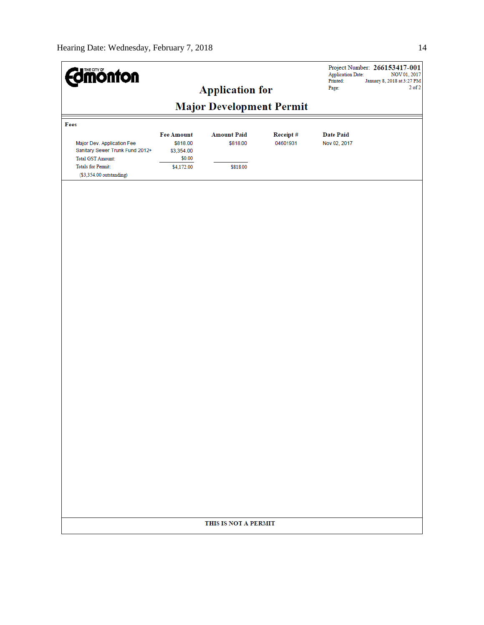| <b>dmönton</b>                                                                                                                              |                                                                     | <b>Application for</b>                     |                      | <b>Application Date:</b><br>Printed:<br>Page: | Project Number: 266153417-001<br>NOV 01, 2017<br>January 8, 2018 at 3:27 PM<br>$2$ of $2$ |
|---------------------------------------------------------------------------------------------------------------------------------------------|---------------------------------------------------------------------|--------------------------------------------|----------------------|-----------------------------------------------|-------------------------------------------------------------------------------------------|
|                                                                                                                                             |                                                                     | <b>Major Development Permit</b>            |                      |                                               |                                                                                           |
| Fees                                                                                                                                        |                                                                     |                                            |                      |                                               |                                                                                           |
| Major Dev. Application Fee<br>Sanitary Sewer Trunk Fund 2012+<br>Total GST Amount:<br><b>Totals for Permit:</b><br>(\$3,354.00 outstanding) | <b>Fee Amount</b><br>\$818.00<br>\$3,354.00<br>\$0.00<br>\$4,172.00 | <b>Amount Paid</b><br>\$818.00<br>\$818.00 | Receipt#<br>04601931 | <b>Date Paid</b><br>Nov 02, 2017              |                                                                                           |
|                                                                                                                                             |                                                                     |                                            |                      |                                               |                                                                                           |
|                                                                                                                                             |                                                                     |                                            |                      |                                               |                                                                                           |
|                                                                                                                                             |                                                                     |                                            |                      |                                               |                                                                                           |
|                                                                                                                                             |                                                                     |                                            |                      |                                               |                                                                                           |
|                                                                                                                                             |                                                                     |                                            |                      |                                               |                                                                                           |
|                                                                                                                                             |                                                                     |                                            |                      |                                               |                                                                                           |
|                                                                                                                                             |                                                                     |                                            |                      |                                               |                                                                                           |
|                                                                                                                                             |                                                                     |                                            |                      |                                               |                                                                                           |
|                                                                                                                                             |                                                                     |                                            |                      |                                               |                                                                                           |
|                                                                                                                                             |                                                                     |                                            |                      |                                               |                                                                                           |
|                                                                                                                                             |                                                                     |                                            |                      |                                               |                                                                                           |
|                                                                                                                                             |                                                                     |                                            |                      |                                               |                                                                                           |
|                                                                                                                                             |                                                                     |                                            |                      |                                               |                                                                                           |
|                                                                                                                                             |                                                                     |                                            |                      |                                               |                                                                                           |
|                                                                                                                                             |                                                                     | THIS IS NOT A PERMIT                       |                      |                                               |                                                                                           |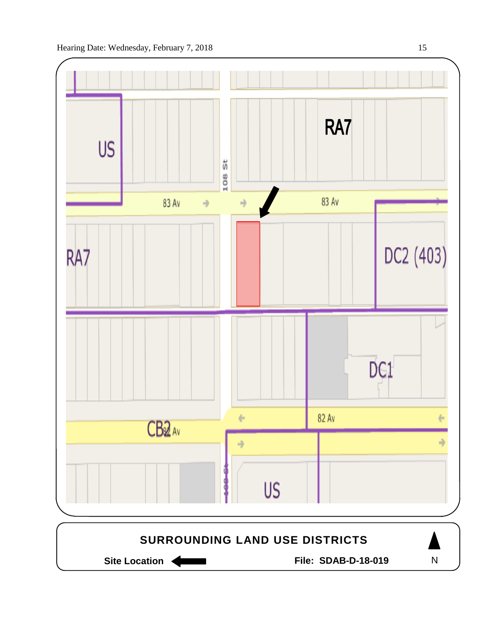

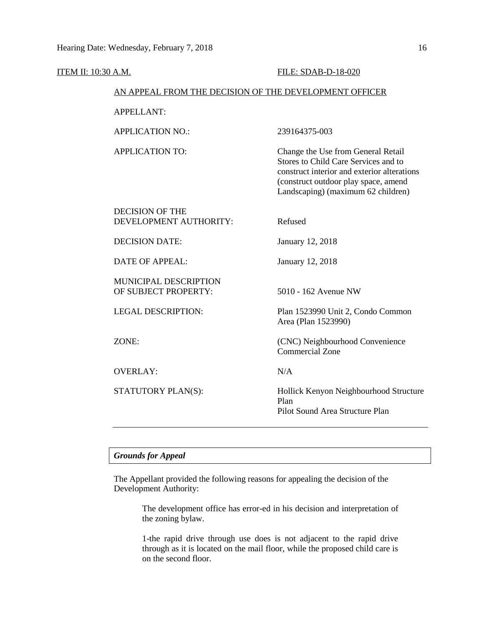| <b>ITEM II: 10:30 A.M.</b> |                                                        | FILE: SDAB-D-18-020                                                                                                                                                                                     |
|----------------------------|--------------------------------------------------------|---------------------------------------------------------------------------------------------------------------------------------------------------------------------------------------------------------|
|                            | AN APPEAL FROM THE DECISION OF THE DEVELOPMENT OFFICER |                                                                                                                                                                                                         |
|                            | <b>APPELLANT:</b>                                      |                                                                                                                                                                                                         |
|                            | <b>APPLICATION NO.:</b>                                | 239164375-003                                                                                                                                                                                           |
|                            | <b>APPLICATION TO:</b>                                 | Change the Use from General Retail<br>Stores to Child Care Services and to<br>construct interior and exterior alterations<br>(construct outdoor play space, amend<br>Landscaping) (maximum 62 children) |
|                            | <b>DECISION OF THE</b><br>DEVELOPMENT AUTHORITY:       | Refused                                                                                                                                                                                                 |
|                            | <b>DECISION DATE:</b>                                  | January 12, 2018                                                                                                                                                                                        |
|                            | <b>DATE OF APPEAL:</b>                                 | January 12, 2018                                                                                                                                                                                        |
|                            | MUNICIPAL DESCRIPTION<br>OF SUBJECT PROPERTY:          | 5010 - 162 Avenue NW                                                                                                                                                                                    |
|                            | <b>LEGAL DESCRIPTION:</b>                              | Plan 1523990 Unit 2, Condo Common<br>Area (Plan 1523990)                                                                                                                                                |
|                            | ZONE:                                                  | (CNC) Neighbourhood Convenience<br><b>Commercial Zone</b>                                                                                                                                               |
|                            | <b>OVERLAY:</b>                                        | N/A                                                                                                                                                                                                     |
|                            | STATUTORY PLAN(S):                                     | Hollick Kenyon Neighbourhood Structure<br>Plan<br>Pilot Sound Area Structure Plan                                                                                                                       |

# *Grounds for Appeal*

The Appellant provided the following reasons for appealing the decision of the Development Authority:

> The development office has error-ed in his decision and interpretation of the zoning bylaw.

> 1-the rapid drive through use does is not adjacent to the rapid drive through as it is located on the mail floor, while the proposed child care is on the second floor.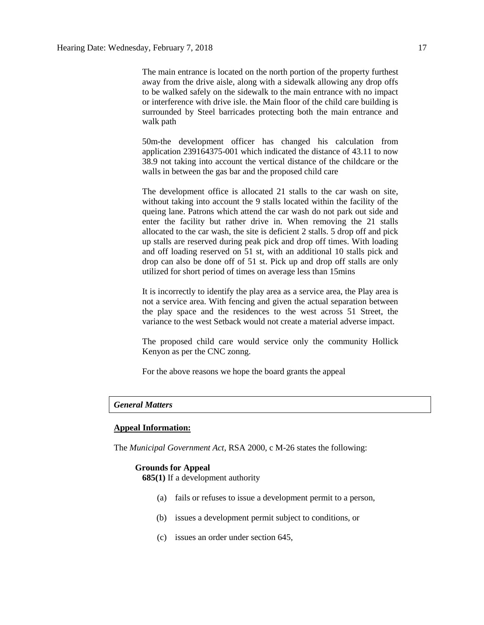The main entrance is located on the north portion of the property furthest away from the drive aisle, along with a sidewalk allowing any drop offs to be walked safely on the sidewalk to the main entrance with no impact or interference with drive isle. the Main floor of the child care building is surrounded by Steel barricades protecting both the main entrance and walk path

50m-the development officer has changed his calculation from application 239164375-001 which indicated the distance of 43.11 to now 38.9 not taking into account the vertical distance of the childcare or the walls in between the gas bar and the proposed child care

The development office is allocated 21 stalls to the car wash on site, without taking into account the 9 stalls located within the facility of the queing lane. Patrons which attend the car wash do not park out side and enter the facility but rather drive in. When removing the 21 stalls allocated to the car wash, the site is deficient 2 stalls. 5 drop off and pick up stalls are reserved during peak pick and drop off times. With loading and off loading reserved on 51 st, with an additional 10 stalls pick and drop can also be done off of 51 st. Pick up and drop off stalls are only utilized for short period of times on average less than 15mins

It is incorrectly to identify the play area as a service area, the Play area is not a service area. With fencing and given the actual separation between the play space and the residences to the west across 51 Street, the variance to the west Setback would not create a material adverse impact.

The proposed child care would service only the community Hollick Kenyon as per the CNC zonng.

For the above reasons we hope the board grants the appeal

## *General Matters*

## **Appeal Information:**

The *Municipal Government Act*, RSA 2000, c M-26 states the following:

## **Grounds for Appeal**

**685(1)** If a development authority

- (a) fails or refuses to issue a development permit to a person,
- (b) issues a development permit subject to conditions, or
- (c) issues an order under section 645,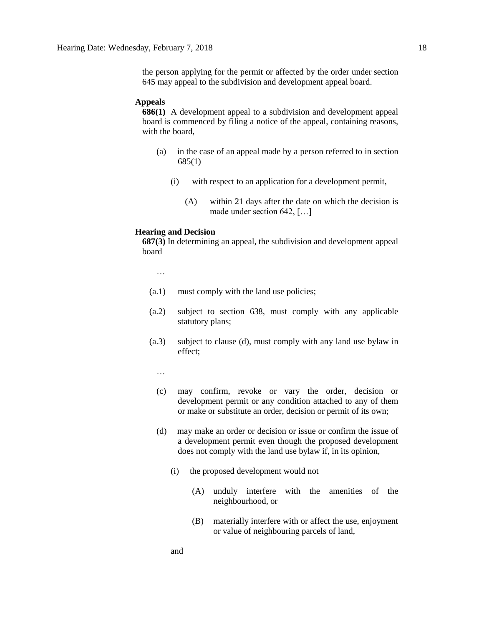the person applying for the permit or affected by the order under section 645 may appeal to the subdivision and development appeal board.

#### **Appeals**

**686(1)** A development appeal to a subdivision and development appeal board is commenced by filing a notice of the appeal, containing reasons, with the board,

- (a) in the case of an appeal made by a person referred to in section 685(1)
	- (i) with respect to an application for a development permit,
		- (A) within 21 days after the date on which the decision is made under section 642, […]

### **Hearing and Decision**

**687(3)** In determining an appeal, the subdivision and development appeal board

…

- (a.1) must comply with the land use policies;
- (a.2) subject to section 638, must comply with any applicable statutory plans;
- (a.3) subject to clause (d), must comply with any land use bylaw in effect;

…

- (c) may confirm, revoke or vary the order, decision or development permit or any condition attached to any of them or make or substitute an order, decision or permit of its own;
- (d) may make an order or decision or issue or confirm the issue of a development permit even though the proposed development does not comply with the land use bylaw if, in its opinion,
	- (i) the proposed development would not
		- (A) unduly interfere with the amenities of the neighbourhood, or
		- (B) materially interfere with or affect the use, enjoyment or value of neighbouring parcels of land,

and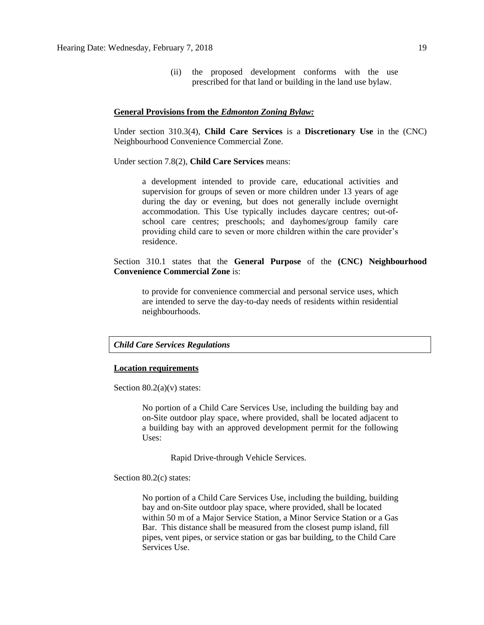(ii) the proposed development conforms with the use prescribed for that land or building in the land use bylaw.

### **General Provisions from the** *Edmonton Zoning Bylaw:*

Under section 310.3(4), **Child Care Services** is a **Discretionary Use** in the (CNC) Neighbourhood Convenience Commercial Zone.

Under section 7.8(2), **Child Care Services** means:

a development intended to provide care, educational activities and supervision for groups of seven or more children under 13 years of age during the day or evening, but does not generally include overnight accommodation. This Use typically includes daycare centres; out-ofschool care centres; preschools; and dayhomes/group family care providing child care to seven or more children within the care provider's residence.

Section 310.1 states that the **General Purpose** of the **(CNC) Neighbourhood Convenience Commercial Zone** is:

to provide for convenience commercial and personal service uses, which are intended to serve the day-to-day needs of residents within residential neighbourhoods.

## *Child Care Services Regulations*

#### **Location requirements**

Section  $80.2(a)(v)$  states:

No portion of a Child Care Services Use, including the building bay and on-Site outdoor play space, where provided, shall be located adjacent to a building bay with an approved development permit for the following Uses:

Rapid Drive-through Vehicle Services.

Section 80.2(c) states:

No portion of a Child Care Services Use, including the building, building bay and on-Site outdoor play space, where provided, shall be located within 50 m of a Major Service Station, a Minor Service Station or a Gas Bar. This distance shall be measured from the closest pump island, fill pipes, vent pipes, or service station or gas bar building, to the Child Care Services Use.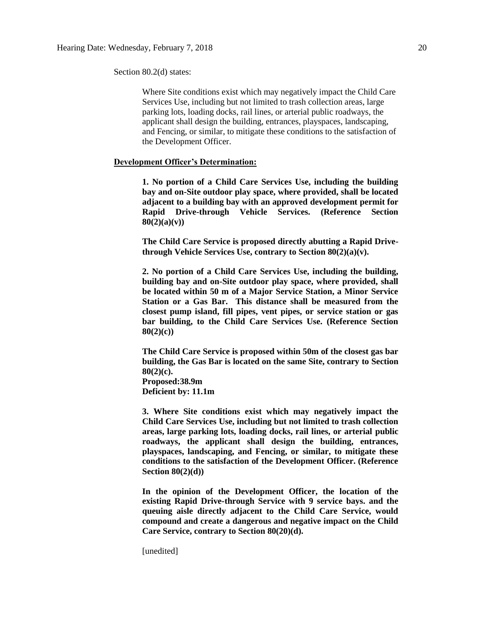Section 80.2(d) states:

Where Site conditions exist which may negatively impact the Child Care Services Use, including but not limited to trash collection areas, large parking lots, loading docks, rail lines, or arterial public roadways, the applicant shall design the building, entrances, playspaces, landscaping, and Fencing, or similar, to mitigate these conditions to the satisfaction of the Development Officer.

## **Development Officer's Determination:**

**1. No portion of a Child Care Services Use, including the building bay and on-Site outdoor play space, where provided, shall be located adjacent to a building bay with an approved development permit for Rapid Drive-through Vehicle Services. (Reference Section 80(2)(a)(v))**

**The Child Care Service is proposed directly abutting a Rapid Drivethrough Vehicle Services Use, contrary to Section 80(2)(a)(v).**

**2. No portion of a Child Care Services Use, including the building, building bay and on-Site outdoor play space, where provided, shall be located within 50 m of a Major Service Station, a Minor Service Station or a Gas Bar. This distance shall be measured from the closest pump island, fill pipes, vent pipes, or service station or gas bar building, to the Child Care Services Use. (Reference Section 80(2)(c))**

**The Child Care Service is proposed within 50m of the closest gas bar building, the Gas Bar is located on the same Site, contrary to Section 80(2)(c). Proposed:38.9m**

**Deficient by: 11.1m**

**3. Where Site conditions exist which may negatively impact the Child Care Services Use, including but not limited to trash collection areas, large parking lots, loading docks, rail lines, or arterial public roadways, the applicant shall design the building, entrances, playspaces, landscaping, and Fencing, or similar, to mitigate these conditions to the satisfaction of the Development Officer. (Reference Section 80(2)(d))**

**In the opinion of the Development Officer, the location of the existing Rapid Drive-through Service with 9 service bays. and the queuing aisle directly adjacent to the Child Care Service, would compound and create a dangerous and negative impact on the Child Care Service, contrary to Section 80(20)(d).** 

[unedited]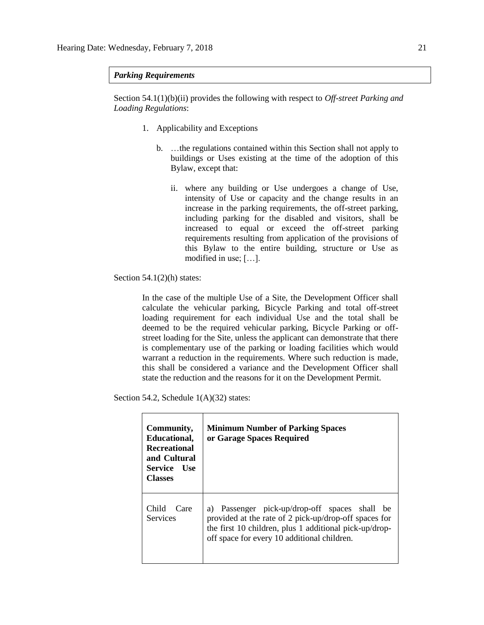## *Parking Requirements*

Section 54.1(1)(b)(ii) provides the following with respect to *Off-street Parking and Loading Regulations*:

- 1. Applicability and Exceptions
	- b. …the regulations contained within this Section shall not apply to buildings or Uses existing at the time of the adoption of this Bylaw, except that:
		- ii. where any building or Use undergoes a change of Use, intensity of Use or capacity and the change results in an increase in the parking requirements, the off-street parking, including parking for the disabled and visitors, shall be increased to equal or exceed the off-street parking requirements resulting from application of the provisions of this Bylaw to the entire building, structure or Use as modified in use; […].

Section  $54.1(2)(h)$  states:

In the case of the multiple Use of a Site, the Development Officer shall calculate the vehicular parking, Bicycle Parking and total off-street loading requirement for each individual Use and the total shall be deemed to be the required vehicular parking, Bicycle Parking or offstreet loading for the Site, unless the applicant can demonstrate that there is complementary use of the parking or loading facilities which would warrant a reduction in the requirements. Where such reduction is made, this shall be considered a variance and the Development Officer shall state the reduction and the reasons for it on the Development Permit.

Section 54.2, Schedule  $1(A)(32)$  states:

| Community,<br>Educational,<br><b>Recreational</b><br>and Cultural<br>Service Use<br><b>Classes</b> | <b>Minimum Number of Parking Spaces</b><br>or Garage Spaces Required                                                                                                                                                  |
|----------------------------------------------------------------------------------------------------|-----------------------------------------------------------------------------------------------------------------------------------------------------------------------------------------------------------------------|
| Child<br>Care<br><b>Services</b>                                                                   | Passenger pick-up/drop-off spaces shall<br>a)<br>be<br>provided at the rate of 2 pick-up/drop-off spaces for<br>the first 10 children, plus 1 additional pick-up/drop-<br>off space for every 10 additional children. |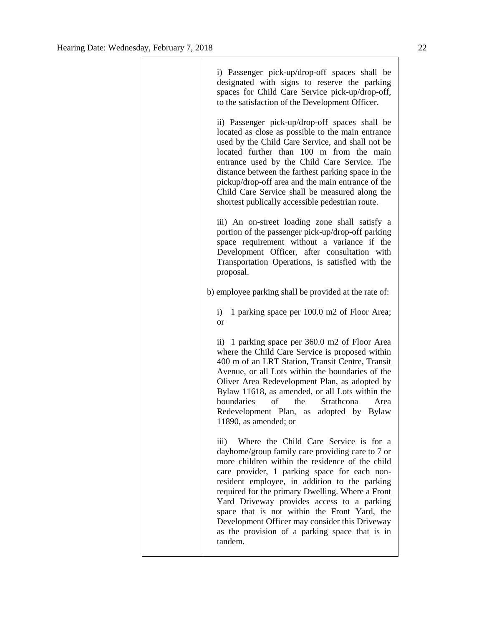Τ

| i) Passenger pick-up/drop-off spaces shall be<br>designated with signs to reserve the parking<br>spaces for Child Care Service pick-up/drop-off,<br>to the satisfaction of the Development Officer.                                                                                                                                                                                                                                                                                                                 |
|---------------------------------------------------------------------------------------------------------------------------------------------------------------------------------------------------------------------------------------------------------------------------------------------------------------------------------------------------------------------------------------------------------------------------------------------------------------------------------------------------------------------|
| ii) Passenger pick-up/drop-off spaces shall be<br>located as close as possible to the main entrance<br>used by the Child Care Service, and shall not be<br>located further than 100 m from the main<br>entrance used by the Child Care Service. The<br>distance between the farthest parking space in the<br>pickup/drop-off area and the main entrance of the<br>Child Care Service shall be measured along the<br>shortest publically accessible pedestrian route.                                                |
| iii) An on-street loading zone shall satisfy a<br>portion of the passenger pick-up/drop-off parking<br>space requirement without a variance if the<br>Development Officer, after consultation with<br>Transportation Operations, is satisfied with the<br>proposal.                                                                                                                                                                                                                                                 |
| b) employee parking shall be provided at the rate of:                                                                                                                                                                                                                                                                                                                                                                                                                                                               |
| 1 parking space per 100.0 m2 of Floor Area;<br>i)<br><sub>or</sub>                                                                                                                                                                                                                                                                                                                                                                                                                                                  |
| ii) 1 parking space per 360.0 m2 of Floor Area<br>where the Child Care Service is proposed within<br>400 m of an LRT Station, Transit Centre, Transit<br>Avenue, or all Lots within the boundaries of the<br>Oliver Area Redevelopment Plan, as adopted by<br>Bylaw 11618, as amended, or all Lots within the<br>of<br>the Strathcona<br>boundaries<br>Area<br>Redevelopment Plan, as adopted by Bylaw<br>11890, as amended; or                                                                                     |
| iii) Where the Child Care Service is for a<br>dayhome/group family care providing care to 7 or<br>more children within the residence of the child<br>care provider, 1 parking space for each non-<br>resident employee, in addition to the parking<br>required for the primary Dwelling. Where a Front<br>Yard Driveway provides access to a parking<br>space that is not within the Front Yard, the<br>Development Officer may consider this Driveway<br>as the provision of a parking space that is in<br>tandem. |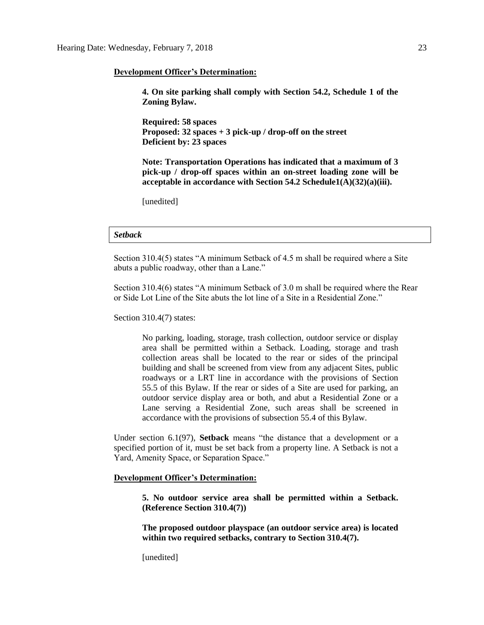### **Development Officer's Determination:**

**4. On site parking shall comply with Section 54.2, Schedule 1 of the Zoning Bylaw.** 

**Required: 58 spaces Proposed: 32 spaces + 3 pick-up / drop-off on the street Deficient by: 23 spaces**

**Note: Transportation Operations has indicated that a maximum of 3 pick-up / drop-off spaces within an on-street loading zone will be acceptable in accordance with Section 54.2 Schedule1(A)(32)(a)(iii).**

[unedited]

## *Setback*

Section 310.4(5) states "A minimum Setback of 4.5 m shall be required where a Site abuts a public roadway, other than a Lane."

Section 310.4(6) states "A minimum Setback of 3.0 m shall be required where the Rear or Side Lot Line of the Site abuts the lot line of a Site in a Residential Zone."

Section 310.4(7) states:

No parking, loading, storage, trash collection, outdoor service or display area shall be permitted within a Setback. Loading, storage and trash collection areas shall be located to the rear or sides of the principal building and shall be screened from view from any adjacent Sites, public roadways or a LRT line in accordance with the provisions of Section 55.5 of this Bylaw. If the rear or sides of a Site are used for parking, an outdoor service display area or both, and abut a Residential Zone or a Lane serving a Residential Zone, such areas shall be screened in accordance with the provisions of subsection 55.4 of this Bylaw.

Under section 6.1(97), **Setback** means "the distance that a development or a specified portion of it, must be set back from a property line. A Setback is not a Yard, Amenity Space, or Separation Space."

## **Development Officer's Determination:**

**5. No outdoor service area shall be permitted within a Setback. (Reference Section 310.4(7))**

**The proposed outdoor playspace (an outdoor service area) is located within two required setbacks, contrary to Section 310.4(7).** 

[unedited]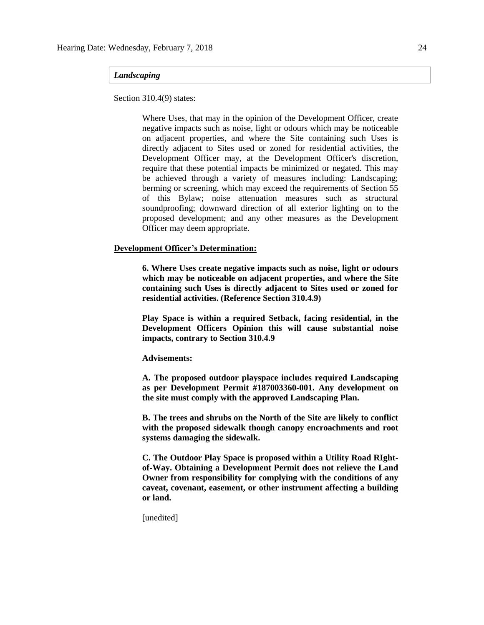## *Landscaping*

Section 310.4(9) states:

Where Uses, that may in the opinion of the Development Officer, create negative impacts such as noise, light or odours which may be noticeable on adjacent properties, and where the Site containing such Uses is directly adjacent to Sites used or zoned for residential activities, the Development Officer may, at the Development Officer's discretion, require that these potential impacts be minimized or negated. This may be achieved through a variety of measures including: Landscaping; berming or screening, which may exceed the requirements of Section 55 of this Bylaw; noise attenuation measures such as structural soundproofing; downward direction of all exterior lighting on to the proposed development; and any other measures as the Development Officer may deem appropriate.

## **Development Officer's Determination:**

**6. Where Uses create negative impacts such as noise, light or odours which may be noticeable on adjacent properties, and where the Site containing such Uses is directly adjacent to Sites used or zoned for residential activities. (Reference Section 310.4.9)**

**Play Space is within a required Setback, facing residential, in the Development Officers Opinion this will cause substantial noise impacts, contrary to Section 310.4.9**

**Advisements:**

**A. The proposed outdoor playspace includes required Landscaping as per Development Permit #187003360-001. Any development on the site must comply with the approved Landscaping Plan.**

**B. The trees and shrubs on the North of the Site are likely to conflict with the proposed sidewalk though canopy encroachments and root systems damaging the sidewalk.** 

**C. The Outdoor Play Space is proposed within a Utility Road RIghtof-Way. Obtaining a Development Permit does not relieve the Land Owner from responsibility for complying with the conditions of any caveat, covenant, easement, or other instrument affecting a building or land.**

[unedited]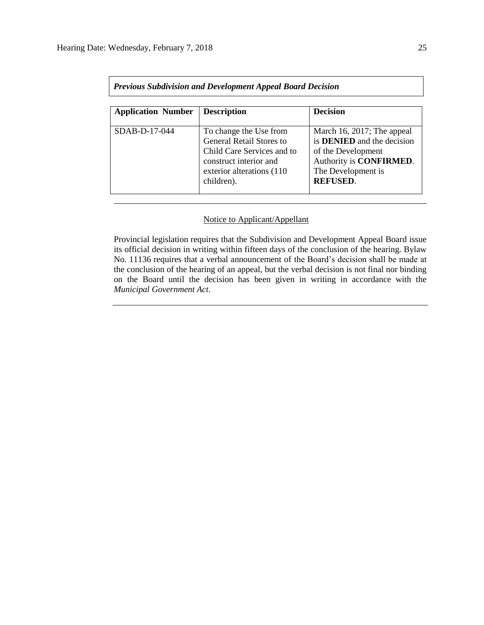| <b>Previous Subdivision and Development Appeal Board Decision</b> |                                                                                                                                                               |                                                                                                                                                                   |  |  |  |  |  |  |
|-------------------------------------------------------------------|---------------------------------------------------------------------------------------------------------------------------------------------------------------|-------------------------------------------------------------------------------------------------------------------------------------------------------------------|--|--|--|--|--|--|
| <b>Application Number</b>                                         | <b>Description</b>                                                                                                                                            | <b>Decision</b>                                                                                                                                                   |  |  |  |  |  |  |
| $SDAB-D-17-044$                                                   | To change the Use from<br><b>General Retail Stores to</b><br>Child Care Services and to<br>construct interior and<br>exterior alterations (110)<br>children). | March 16, 2017; The appeal<br>is <b>DENIED</b> and the decision<br>of the Development<br>Authority is <b>CONFIRMED</b> .<br>The Development is<br><b>REFUSED.</b> |  |  |  |  |  |  |

# Notice to Applicant/Appellant

Provincial legislation requires that the Subdivision and Development Appeal Board issue its official decision in writing within fifteen days of the conclusion of the hearing. Bylaw No. 11136 requires that a verbal announcement of the Board's decision shall be made at the conclusion of the hearing of an appeal, but the verbal decision is not final nor binding on the Board until the decision has been given in writing in accordance with the *Municipal Government Act*.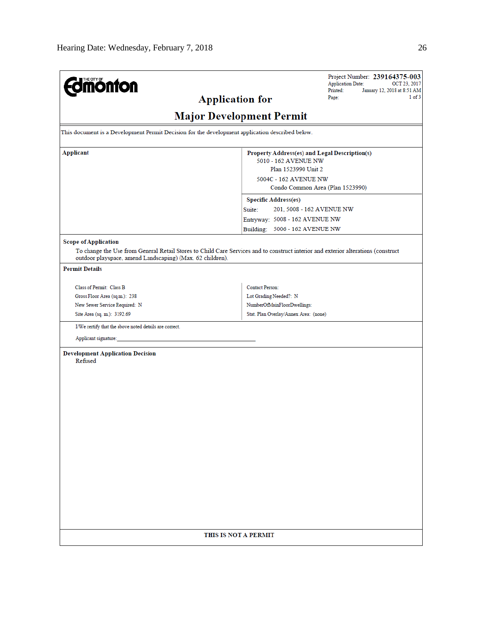| <b>mónfon</b>                                                                                   | Project Number: 239164375-003<br><b>Application Date:</b><br>OCT 23, 2017<br>Printed:<br>January 12, 2018 at 8:51 AM<br>1 of 3    |  |  |  |  |  |  |  |
|-------------------------------------------------------------------------------------------------|-----------------------------------------------------------------------------------------------------------------------------------|--|--|--|--|--|--|--|
|                                                                                                 | Page:<br><b>Application for</b>                                                                                                   |  |  |  |  |  |  |  |
| <b>Major Development Permit</b>                                                                 |                                                                                                                                   |  |  |  |  |  |  |  |
| This document is a Development Permit Decision for the development application described below. |                                                                                                                                   |  |  |  |  |  |  |  |
|                                                                                                 |                                                                                                                                   |  |  |  |  |  |  |  |
| Applicant                                                                                       | Property Address(es) and Legal Description(s)<br>5010 - 162 AVENUE NW                                                             |  |  |  |  |  |  |  |
|                                                                                                 | Plan 1523990 Unit 2                                                                                                               |  |  |  |  |  |  |  |
|                                                                                                 | 5004C - 162 AVENUE NW                                                                                                             |  |  |  |  |  |  |  |
|                                                                                                 | Condo Common Area (Plan 1523990)                                                                                                  |  |  |  |  |  |  |  |
|                                                                                                 | <b>Specific Address(es)</b>                                                                                                       |  |  |  |  |  |  |  |
|                                                                                                 | Suite:<br>201, 5008 - 162 AVENUE NW                                                                                               |  |  |  |  |  |  |  |
|                                                                                                 | Entryway: 5008 - 162 AVENUE NW                                                                                                    |  |  |  |  |  |  |  |
|                                                                                                 | Building: 5006 - 162 AVENUE NW                                                                                                    |  |  |  |  |  |  |  |
| <b>Scope of Application</b><br>outdoor playspace, amend Landscaping) (Max. 62 children).        | To change the Use from General Retail Stores to Child Care Services and to construct interior and exterior alterations (construct |  |  |  |  |  |  |  |
| <b>Permit Details</b>                                                                           |                                                                                                                                   |  |  |  |  |  |  |  |
| Class of Permit: Class B                                                                        | <b>Contact Person:</b>                                                                                                            |  |  |  |  |  |  |  |
| Gross Floor Area (sq.m.): 238                                                                   | Lot Grading Needed?: N                                                                                                            |  |  |  |  |  |  |  |
| New Sewer Service Required: N                                                                   | NumberOfMainFloorDwellings:                                                                                                       |  |  |  |  |  |  |  |
| Site Area (sq. m.): 3192.69                                                                     | Stat. Plan Overlay/Annex Area: (none)                                                                                             |  |  |  |  |  |  |  |
| I/We certify that the above noted details are correct.                                          |                                                                                                                                   |  |  |  |  |  |  |  |
| Applicant signature:                                                                            |                                                                                                                                   |  |  |  |  |  |  |  |
| <b>Development Application Decision</b><br>Refused                                              |                                                                                                                                   |  |  |  |  |  |  |  |
|                                                                                                 | THIS IS NOT A PERMIT                                                                                                              |  |  |  |  |  |  |  |
|                                                                                                 |                                                                                                                                   |  |  |  |  |  |  |  |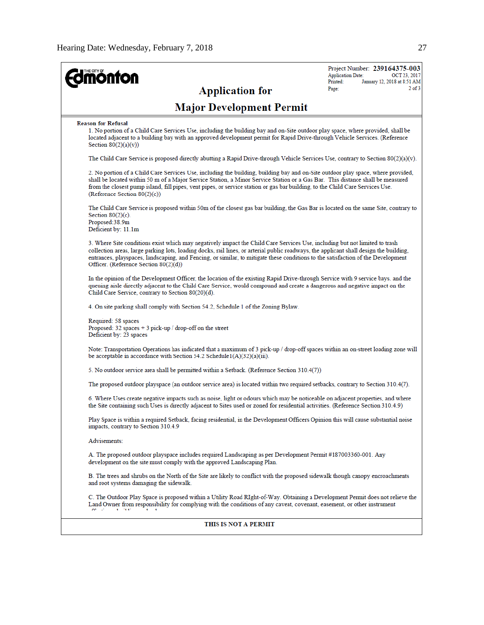| <b>ionton</b><br><b>Application for</b>                                                                                                                                                                                                                                                                                                                                                                                                           | Project Number: 239164375-003<br><b>Application Date:</b><br>OCT 23, 2017<br>Printed:<br>January 12, 2018 at 8:51 AM<br>$2$ of $3$<br>Page: |  |  |  |  |
|---------------------------------------------------------------------------------------------------------------------------------------------------------------------------------------------------------------------------------------------------------------------------------------------------------------------------------------------------------------------------------------------------------------------------------------------------|---------------------------------------------------------------------------------------------------------------------------------------------|--|--|--|--|
| <b>Major Development Permit</b>                                                                                                                                                                                                                                                                                                                                                                                                                   |                                                                                                                                             |  |  |  |  |
| <b>Reason for Refusal</b><br>1. No portion of a Child Care Services Use, including the building bay and on-Site outdoor play space, where provided, shall be<br>located adjacent to a building bay with an approved development permit for Rapid Drive-through Vehicle Services. (Reference<br>Section $80(2)(a)(v)$                                                                                                                              |                                                                                                                                             |  |  |  |  |
| The Child Care Service is proposed directly abutting a Rapid Drive-through Vehicle Services Use, contrary to Section $80(2)(a)(v)$ .                                                                                                                                                                                                                                                                                                              |                                                                                                                                             |  |  |  |  |
| 2. No portion of a Child Care Services Use, including the building, building bay and on-Site outdoor play space, where provided,<br>shall be located within 50 m of a Major Service Station, a Minor Service Station or a Gas Bar. This distance shall be measured<br>from the closest pump island, fill pipes, vent pipes, or service station or gas bar building, to the Child Care Services Use.<br>(Reference Section 80(2)(c))               |                                                                                                                                             |  |  |  |  |
| The Child Care Service is proposed within 50m of the closest gas bar building, the Gas Bar is located on the same Site, contrary to<br>Section $80(2)(c)$ .<br>Proposed:38.9m<br>Deficient by: 11.1m                                                                                                                                                                                                                                              |                                                                                                                                             |  |  |  |  |
| 3. Where Site conditions exist which may negatively impact the Child Care Services Use, including but not limited to trash<br>collection areas, large parking lots, loading docks, rail lines, or arterial public roadways, the applicant shall design the building,<br>entrances, playspaces, landscaping, and Fencing, or similar, to mitigate these conditions to the satisfaction of the Development<br>Officer. (Reference Section 80(2)(d)) |                                                                                                                                             |  |  |  |  |
| In the opinion of the Development Officer, the location of the existing Rapid Drive-through Service with 9 service bays, and the<br>queuing aisle directly adjacent to the Child Care Service, would compound and create a dangerous and negative impact on the<br>Child Care Service, contrary to Section 80(20)(d).                                                                                                                             |                                                                                                                                             |  |  |  |  |
| 4. On site parking shall comply with Section 54.2, Schedule 1 of the Zoning Bylaw.                                                                                                                                                                                                                                                                                                                                                                |                                                                                                                                             |  |  |  |  |
| Required: 58 spaces<br>Proposed: 32 spaces $+$ 3 pick-up / drop-off on the street<br>Deficient by: 23 spaces                                                                                                                                                                                                                                                                                                                                      |                                                                                                                                             |  |  |  |  |
| Note: Transportation Operations has indicated that a maximum of 3 pick-up / drop-off spaces within an on-street loading zone will<br>be acceptable in accordance with Section 54.2 Schedule $1(A)(32)(a)(iii)$ .                                                                                                                                                                                                                                  |                                                                                                                                             |  |  |  |  |
| 5. No outdoor service area shall be permitted within a Setback. (Reference Section 310.4(7))                                                                                                                                                                                                                                                                                                                                                      |                                                                                                                                             |  |  |  |  |
| The proposed outdoor playspace (an outdoor service area) is located within two required setbacks, contrary to Section 310.4(7).                                                                                                                                                                                                                                                                                                                   |                                                                                                                                             |  |  |  |  |
| 6. Where Uses create negative impacts such as noise, light or odours which may be noticeable on adjacent properties, and where<br>the Site containing such Uses is directly adjacent to Sites used or zoned for residential activities. (Reference Section 310.4.9)                                                                                                                                                                               |                                                                                                                                             |  |  |  |  |
| Play Space is within a required Setback, facing residential, in the Development Officers Opinion this will cause substantial noise<br>impacts, contrary to Section 310.4.9                                                                                                                                                                                                                                                                        |                                                                                                                                             |  |  |  |  |
| Advisements:                                                                                                                                                                                                                                                                                                                                                                                                                                      |                                                                                                                                             |  |  |  |  |
| A. The proposed outdoor playspace includes required Landscaping as per Development Permit #187003360-001. Any<br>development on the site must comply with the approved Landscaping Plan.                                                                                                                                                                                                                                                          |                                                                                                                                             |  |  |  |  |
| B. The trees and shrubs on the North of the Site are likely to conflict with the proposed sidewalk though canopy encroachments<br>and root systems damaging the sidewalk.                                                                                                                                                                                                                                                                         |                                                                                                                                             |  |  |  |  |
| C. The Outdoor Play Space is proposed within a Utility Road RIght-of-Way. Obtaining a Development Permit does not relieve the<br>Land Owner from responsibility for complying with the conditions of any caveat, covenant, easement, or other instrument<br>ne un contrare                                                                                                                                                                        |                                                                                                                                             |  |  |  |  |
| THIS IS NOT A PERMIT                                                                                                                                                                                                                                                                                                                                                                                                                              |                                                                                                                                             |  |  |  |  |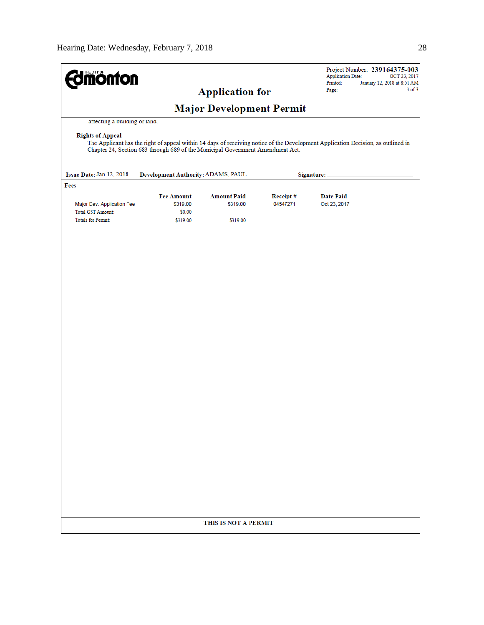| <b>dmönton</b>                |                                                                                |                                 |                      | Project Number: 239164375-003<br><b>Application Date:</b><br>OCT 23, 2017                                                        |
|-------------------------------|--------------------------------------------------------------------------------|---------------------------------|----------------------|----------------------------------------------------------------------------------------------------------------------------------|
|                               |                                                                                | <b>Application for</b>          |                      | Printed:<br>January 12, 2018 at 8:51 AM<br>$3$ of $3$<br>Page:                                                                   |
|                               |                                                                                |                                 |                      |                                                                                                                                  |
|                               |                                                                                | <b>Major Development Permit</b> |                      |                                                                                                                                  |
| attecting a building or land. |                                                                                |                                 |                      |                                                                                                                                  |
| <b>Rights of Appeal</b>       | Chapter 24, Section 683 through 689 of the Municipal Government Amendment Act. |                                 |                      | The Applicant has the right of appeal within 14 days of receiving notice of the Development Application Decision, as outlined in |
| Issue Date: Jan 12, 2018      | Development Authority: ADAMS, PAUL                                             |                                 |                      | Signature:                                                                                                                       |
| Fees                          |                                                                                |                                 |                      |                                                                                                                                  |
| Major Dev. Application Fee    | <b>Fee Amount</b><br>\$319.00                                                  | <b>Amount Paid</b><br>\$319.00  | Receipt#<br>04547271 | <b>Date Paid</b><br>Oct 23, 2017                                                                                                 |
| Total GST Amount:             | \$0.00                                                                         |                                 |                      |                                                                                                                                  |
| <b>Totals for Permit:</b>     | \$319.00                                                                       | \$319.00                        |                      |                                                                                                                                  |
|                               |                                                                                | THIS IS NOT A PERMIT            |                      |                                                                                                                                  |